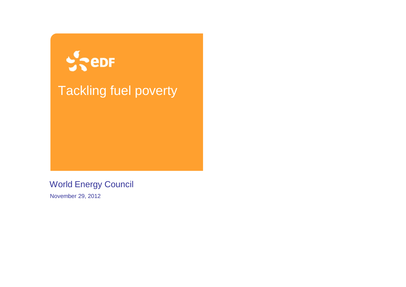

#### Tackling fuel poverty

World Energy Council

November 29, 2012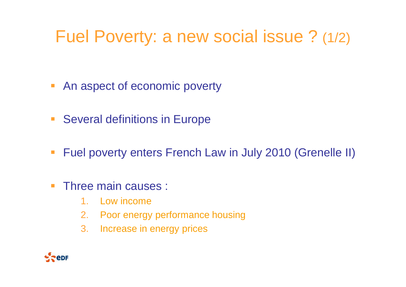## Fuel Poverty: a new social issue ? (1/2)

- An aspect of economic poverty
- **Several definitions in Europe**
- **Fuel poverty enters French Law in July 2010 (Grenelle II)**
- **Filtree main causes :** 
	- 1. Low income
	- 2. Poor energy performance housing
	- 3. Increase in energy prices

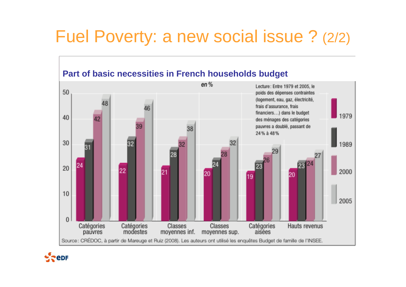### Fuel Poverty: a new social issue ? (2/2)



#### **Part of basic necessities in French households budget**

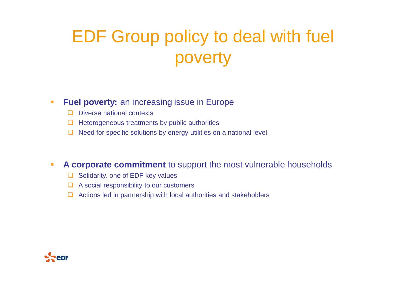# EDF Group policy to deal with fuel poverty

#### **Fuel poverty:** an increasing issue in Europe

- $\Box$  Diverse national contexts
- $\Box$  Heterogeneous treatments by public authorities
- $\Box$  Need for specific solutions by energy utilities on a national level

#### **A Corporate commitment** to support the most vulnerable households

- $\Box$  Solidarity, one of EDF key values
- $\Box$  A social responsibility to our customers
- $\Box$  Actions led in partnership with local authorities and stakeholders

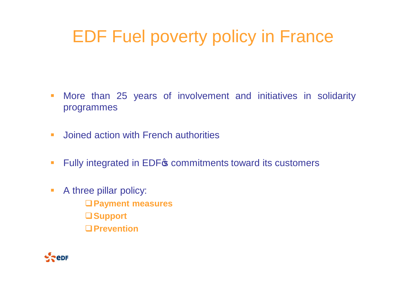- **Nore than 25 years of involvement and initiatives in solidarity** programmes
- **Joined action with French authorities**
- **Fully integrated in EDF<sub>F</sub>** commitments toward its customers
- A three pillar policy: q**Payment measures** q**Support** q**Prevention**

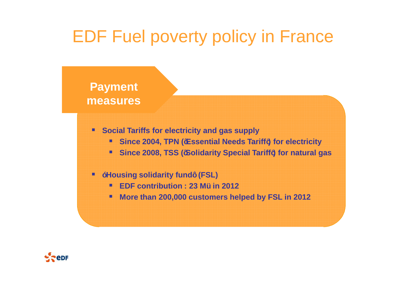#### ß **Social Tariffs for electricity and gas supply** ß **Since 2004, TPN ('Essential Needs Tariff') for electricity** ß **Since 2008, TSS ('Solidarity Special Tariff') for natural gas** ß **"Housing solidarity fund" (FSL) Payment measures**

- ß **EDF contribution : 23 M€ in 2012**
- **Kritter 1 More than 200,000 customers helped by FSL in 2012**

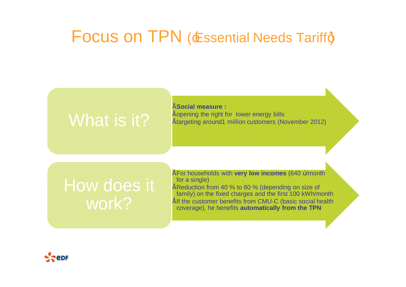#### Focus on TPN (*Essential Needs Tariffq*

• **Social measure :** ening the right for lower energy bills Vancher 2012)<br>Martin Stargeting around1 million customers (November 2012)

How does it work?

**For households with very low incomes (640 "/month** for a single)

• Reduction from 40 % to 60 % (depending on size of family) on the fixed charges and the first 100 kWh/month If the customer benefits from CMU-C (basic social health coverage), he benefits **automatically from the TPN**

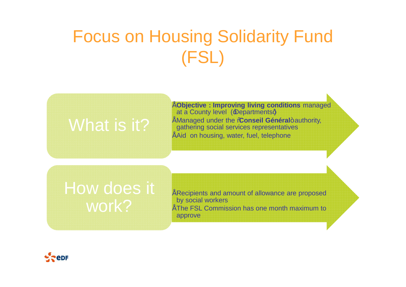# Focus on Housing Solidarity Fund (FSL)



• **Objective : Improving living conditions** managed at a County level (Departmentsq) <sup>"</sup> Managed under the **Conseil Général**+authority,<br>gathering social services representatives What is it?<br>• "Managed under the **Conseil Général**"<br>Faid on housing, water, fuel, telephone

How does it work?

• Recipients and amount of allowance are proposed by social workers • The FSL Commission has one month maximum to approve

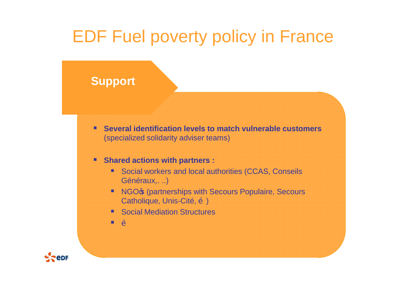#### **Support**

■ Several identification levels to match vulnerable customers (specialized solidarity adviser teams)

#### ■ Shared actions with partners :

- **Social workers and local authorities (CCAS, Conseils** Généraux,. ..)
- NGOG (partnerships with Secours Populaire, Secours Catholique, Unis-Cité,  $\ddot{\text{o}}$ )
- Social Mediation Structures
- $\blacksquare$   $\tilde{\Omega}$

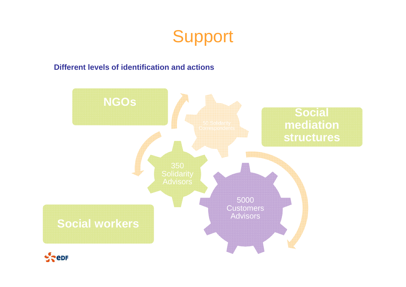### Support

#### **Different levels of identification and actions**

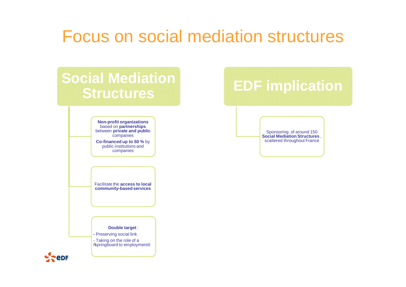### Focus on social mediation structures

#### **Social Mediation Structures**

**Non-profit organizations**  based on **partnerships** between **private and public companies Co-financed up to 50 %** by

public institutions and companies

Facilitate the **access to local community-based services** 

**Double target** :

- **-** Preserving social link
- Taking on the role of a % pringboard to employment+

### **EDF implication**

Sponsoring of around 150 **Social Mediation Structures** , scattered throughout France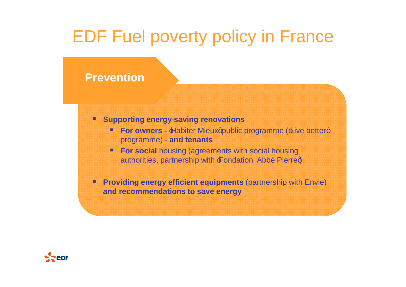#### **Prevention**

- ß **Supporting energy-saving renovations**
	- **For owners Habiter Mieux apublic programme (Live betterg)** programme) - **and tenants**
	- **For social housing (agreements with social housing)** authorities, partnership with  $\pm$ ondation Abbé Pierred
- **Providing energy efficient equipments** (partnership with Envie) **and recommendations to save energy**